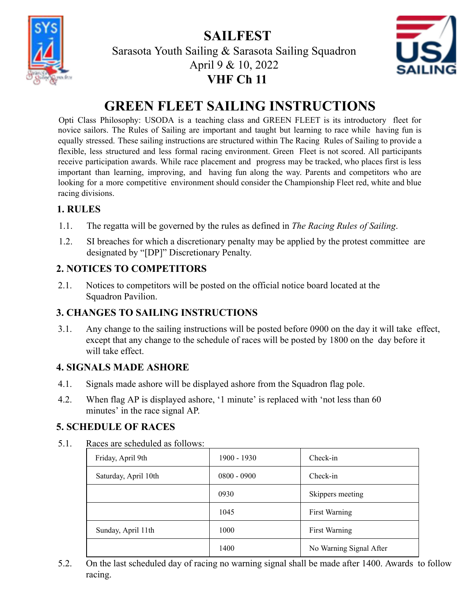**SAILFEST**



Sarasota Youth Sailing & Sarasota Sailing Squadron April 9 & 10, 2022 **VHF Ch 11**



# **GREEN FLEET SAILING INSTRUCTIONS**

Opti Class Philosophy: USODA is a teaching class and GREEN FLEET is its introductory fleet for novice sailors. The Rules of Sailing are important and taught but learning to race while having fun is equally stressed. These sailing instructions are structured within The Racing Rules of Sailing to provide a flexible, less structured and less formal racing environment. Green Fleet is not scored. All participants receive participation awards. While race placement and progress may be tracked, who places first is less important than learning, improving, and having fun along the way. Parents and competitors who are looking for a more competitive environment should consider the Championship Fleet red, white and blue racing divisions.

#### **1. RULES**

- 1.1. The regatta will be governed by the rules as defined in *The Racing Rules of Sailing*.
- 1.2. SI breaches for which a discretionary penalty may be applied by the protest committee are designated by "[DP]" Discretionary Penalty.

### **2. NOTICES TO COMPETITORS**

2.1. Notices to competitors will be posted on the official notice board located at the Squadron Pavilion.

#### **3. CHANGES TO SAILING INSTRUCTIONS**

3.1. Any change to the sailing instructions will be posted before 0900 on the day it will take effect, except that any change to the schedule of races will be posted by 1800 on the day before it will take effect.

### **4. SIGNALS MADE ASHORE**

- 4.1. Signals made ashore will be displayed ashore from the Squadron flag pole.
- 4.2. When flag AP is displayed ashore, '1 minute' is replaced with 'not less than 60 minutes' in the race signal AP.

### **5. SCHEDULE OF RACES**

5.1. Races are scheduled as follows:

| Friday, April 9th    | $1900 - 1930$ | Check-in                |  |
|----------------------|---------------|-------------------------|--|
| Saturday, April 10th | $0800 - 0900$ | Check-in                |  |
|                      | 0930          | Skippers meeting        |  |
|                      | 1045          | First Warning           |  |
| Sunday, April 11th   | 1000          | First Warning           |  |
|                      | 1400          | No Warning Signal After |  |

5.2. On the last scheduled day of racing no warning signal shall be made after 1400. Awards to follow racing.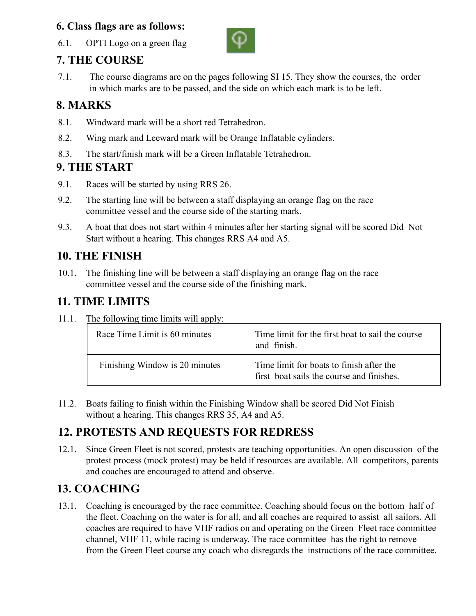#### **6. Class flags are as follows:**



6.1. OPTI Logo on a green flag

### **7. THE COURSE**

7.1. The course diagrams are on the pages following SI 15. They show the courses, the order in which marks are to be passed, and the side on which each mark is to be left.

### **8. MARKS**

- 8.1. Windward mark will be a short red Tetrahedron.
- 8.2. Wing mark and Leeward mark will be Orange Inflatable cylinders.
- 8.3. The start/finish mark will be a Green Inflatable Tetrahedron.

### **9. THE START**

- 9.1. Races will be started by using RRS 26.
- 9.2. The starting line will be between a staff displaying an orange flag on the race committee vessel and the course side of the starting mark.
- 9.3. A boat that does not start within 4 minutes after her starting signal will be scored Did Not Start without a hearing. This changes RRS A4 and A5.

### **10. THE FINISH**

10.1. The finishing line will be between a staff displaying an orange flag on the race committee vessel and the course side of the finishing mark.

### **11. TIME LIMITS**

11.1. The following time limits will apply:

| Race Time Limit is 60 minutes  | Time limit for the first boat to sail the course<br>and finish.                       |
|--------------------------------|---------------------------------------------------------------------------------------|
| Finishing Window is 20 minutes | Time limit for boats to finish after the<br>first boat sails the course and finishes. |

11.2. Boats failing to finish within the Finishing Window shall be scored Did Not Finish without a hearing. This changes RRS 35, A4 and A5.

### **12. PROTESTS AND REQUESTS FOR REDRESS**

12.1. Since Green Fleet is not scored, protests are teaching opportunities. An open discussion of the protest process (mock protest) may be held if resources are available. All competitors, parents and coaches are encouraged to attend and observe.

## **13. COACHING**

13.1. Coaching is encouraged by the race committee. Coaching should focus on the bottom half of the fleet. Coaching on the water is for all, and all coaches are required to assist all sailors. All coaches are required to have VHF radios on and operating on the Green Fleet race committee channel, VHF 11, while racing is underway. The race committee has the right to remove from the Green Fleet course any coach who disregards the instructions of the race committee.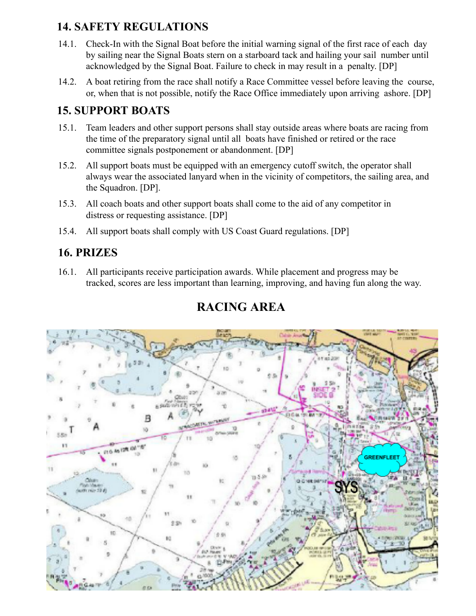### **14. SAFETY REGULATIONS**

- 14.1. Check-In with the Signal Boat before the initial warning signal of the first race of each day by sailing near the Signal Boats stern on a starboard tack and hailing your sail number until acknowledged by the Signal Boat. Failure to check in may result in a penalty. [DP]
- 14.2. A boat retiring from the race shall notify a Race Committee vessel before leaving the course, or, when that is not possible, notify the Race Office immediately upon arriving ashore. [DP]

### **15. SUPPORT BOATS**

- 15.1. Team leaders and other support persons shall stay outside areas where boats are racing from the time of the preparatory signal until all boats have finished or retired or the race committee signals postponement or abandonment. [DP]
- 15.2. All support boats must be equipped with an emergency cutoff switch, the operator shall always wear the associated lanyard when in the vicinity of competitors, the sailing area, and the Squadron. [DP].
- 15.3. All coach boats and other support boats shall come to the aid of any competitor in distress or requesting assistance. [DP]
- 15.4. All support boats shall comply with US Coast Guard regulations. [DP]

### **16. PRIZES**

16.1. All participants receive participation awards. While placement and progress may be tracked, scores are less important than learning, improving, and having fun along the way.



# **RACING AREA**